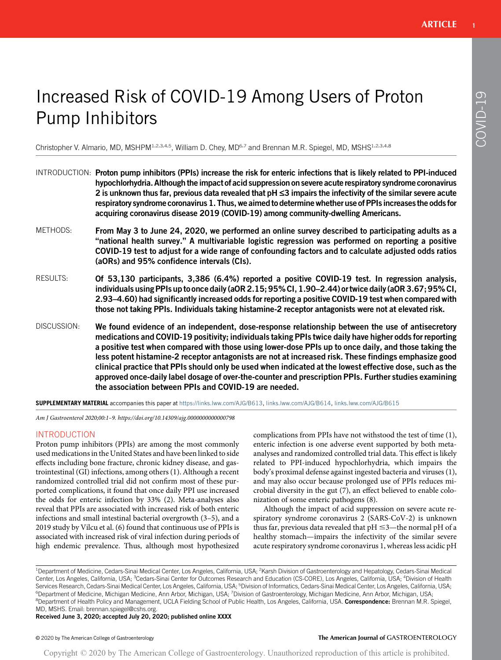# Increased Risk of COVID-19 Among Users of Proton Pump Inhibitors

Christopher V. Almario, MD, MSHPM<sup>1,2,3,4,5</sup>, William D. Chey, MD<sup>6,7</sup> and Brennan M.R. Spiegel, MD, MSHS<sup>1,2,3,4,8</sup>

|                 | INTRODUCTION: Proton pump inhibitors (PPIs) increase the risk for enteric infections that is likely related to PPI-induced<br>hypochlorhydria. Although the impact of acid suppression on severe acute respiratory syndrome coronavirus<br>2 is unknown thus far, previous data revealed that $pH \leq 3$ impairs the infectivity of the similar severe acute<br>respiratory syndrome coronavirus 1. Thus, we aimed to determine whether use of PPIs increases the odds for<br>acquiring coronavirus disease 2019 (COVID-19) among community-dwelling Americans.                                                                                                                                            |
|-----------------|-------------------------------------------------------------------------------------------------------------------------------------------------------------------------------------------------------------------------------------------------------------------------------------------------------------------------------------------------------------------------------------------------------------------------------------------------------------------------------------------------------------------------------------------------------------------------------------------------------------------------------------------------------------------------------------------------------------|
| METHODS:        | From May 3 to June 24, 2020, we performed an online survey described to participating adults as a<br>"national health survey." A multivariable logistic regression was performed on reporting a positive<br>COVID-19 test to adjust for a wide range of confounding factors and to calculate adjusted odds ratios<br>(aORs) and 95% confidence intervals (CIs).                                                                                                                                                                                                                                                                                                                                             |
| <b>RESULTS:</b> | Of 53,130 participants, 3,386 (6.4%) reported a positive COVID-19 test. In regression analysis,<br>individuals using PPIs up to once daily (aOR 2.15; 95% CI, 1.90–2.44) or twice daily (aOR 3.67; 95% CI,<br>2.93–4.60) had significantly increased odds for reporting a positive COVID-19 test when compared with<br>those not taking PPIs. Individuals taking histamine-2 receptor antagonists were not at elevated risk.                                                                                                                                                                                                                                                                                |
| DISCUSSION:     | We found evidence of an independent, dose-response relationship between the use of antisecretory<br>medications and COVID-19 positivity; individuals taking PPIs twice daily have higher odds for reporting<br>a positive test when compared with those using lower-dose PPIs up to once daily, and those taking the<br>less potent histamine-2 receptor antagonists are not at increased risk. These findings emphasize good<br>clinical practice that PPIs should only be used when indicated at the lowest effective dose, such as the<br>approved once-daily label dosage of over-the-counter and prescription PPIs. Further studies examining<br>the association between PPIs and COVID-19 are needed. |

SUPPLEMENTARY MATERIAL accompanies this paper at <https://links.lww.com/AJG/B613>, [links.lww.com/AJG/B614](http://links.lww.com/AJG/B614), [links.lww.com/AJG/B615](http://links.lww.com/AJG/B615)

Am J Gastroenterol 2020;00:1–9.<https://doi.org/10.14309/ajg.0000000000000798>

# INTRODUCTION

Proton pump inhibitors (PPIs) are among the most commonly used medications in the United States and have been linked to side effects including bone fracture, chronic kidney disease, and gastrointestinal (GI) infections, among others (1). Although a recent randomized controlled trial did not confirm most of these purported complications, it found that once daily PPI use increased the odds for enteric infection by 33% (2). Meta-analyses also reveal that PPIs are associated with increased risk of both enteric infections and small intestinal bacterial overgrowth (3–5), and a 2019 study by Vilcu et al. (6) found that continuous use of PPIs is associated with increased risk of viral infection during periods of high endemic prevalence. Thus, although most hypothesized complications from PPIs have not withstood the test of time (1), enteric infection is one adverse event supported by both metaanalyses and randomized controlled trial data. This effect is likely related to PPI-induced hypochlorhydria, which impairs the body's proximal defense against ingested bacteria and viruses (1), and may also occur because prolonged use of PPIs reduces microbial diversity in the gut (7), an effect believed to enable colonization of some enteric pathogens (8).

Although the impact of acid suppression on severe acute respiratory syndrome coronavirus 2 (SARS-CoV-2) is unknown thus far, previous data revealed that  $pH \leq 3$ —the normal pH of a healthy stomach—impairs the infectivity of the similar severe acute respiratory syndrome coronavirus 1, whereas less acidic pH

<sup>1</sup>Department of Medicine, Cedars-Sinai Medical Center, Los Angeles, California, USA; <sup>2</sup>Karsh Division of Gastroenterology and Hepatology, Cedars-Sinai Medical Center, Los Angeles, California, USA; <sup>3</sup>Cedars-Sinai Center for Outcomes Research and Education (CS-CORE), Los Angeles, California, USA; <sup>4</sup>Division of Health Services Research, Cedars-Sinai Medical Center, Los Angeles, California, USA; <sup>5</sup>Division of Informatics, Cedars-Sinai Medical Center, Los Angeles, California, USA; <sup>6</sup>Department of Medicine, Michigan Medicine, Ann Arbor, Michigan, USA; <sup>7</sup>Division of Gastroenterology, Michigan Medicine, Ann Arbor, Michigan, USA; <sup>8</sup>Department of Health Policy and Management, UCLA Fielding School of Public Health, Los Angeles, California, USA. Correspondence: Brennan M.R. Spiegel, MD, MSHS. Email: [brennan.spiegel@cshs.org.](mailto:brennan.spiegel@cshs.org)

Received June 3, 2020; accepted July 20, 2020; published online XXXX

#### © 2020 by The American College of Gastroenterology The American Journal of GASTROENTEROLOGY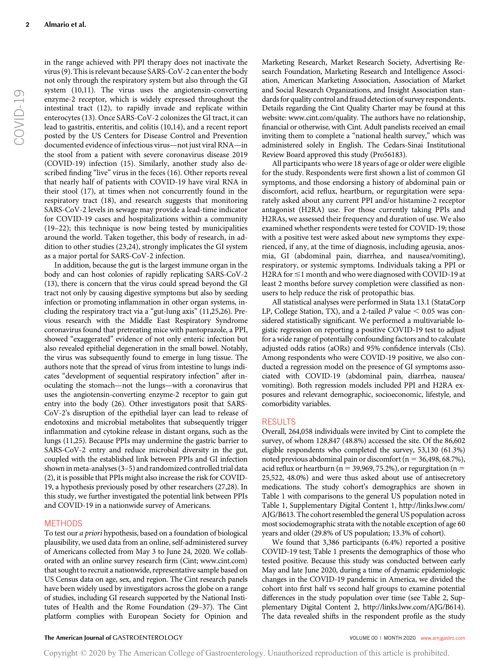in the range achieved with PPI therapy does not inactivate the virus (9). This is relevant because SARS-CoV-2 can enter the body not only through the respiratory system but also through the GI system (10,11). The virus uses the angiotensin-converting enzyme-2 receptor, which is widely expressed throughout the intestinal tract (12), to rapidly invade and replicate within enterocytes (13). Once SARS-CoV-2 colonizes the GI tract, it can lead to gastritis, enteritis, and colitis (10,14), and a recent report posted by the US Centers for Disease Control and Prevention documented evidence of infectious virus—not just viral RNA—in the stool from a patient with severe coronavirus disease 2019 (COVID-19) infection (15). Similarly, another study also described finding "live" virus in the feces (16). Other reports reveal that nearly half of patients with COVID-19 have viral RNA in their stool (17), at times when not concurrently found in the respiratory tract (18), and research suggests that monitoring SARS-CoV-2 levels in sewage may provide a lead-time indicator for COVID-19 cases and hospitalizations within a community (19–22); this technique is now being tested by municipalities around the world. Taken together, this body of research, in addition to other studies (23,24), strongly implicates the GI system as a major portal for SARS-CoV-2 infection.

In addition, because the gut is the largest immune organ in the body and can host colonies of rapidly replicating SARS-CoV-2 (13), there is concern that the virus could spread beyond the GI tract not only by causing digestive symptoms but also by seeding infection or promoting inflammation in other organ systems, including the respiratory tract via a "gut-lung axis" (11,25,26). Previous research with the Middle East Respiratory Syndrome coronavirus found that pretreating mice with pantoprazole, a PPI, showed "exaggerated" evidence of not only enteric infection but also revealed epithelial degeneration in the small bowel. Notably, the virus was subsequently found to emerge in lung tissue. The authors note that the spread of virus from intestine to lungs indicates "development of sequential respiratory infection" after inoculating the stomach—not the lungs—with a coronavirus that uses the angiotensin-converting enzyme-2 receptor to gain gut entry into the body (26). Other investigators posit that SARS-CoV-2's disruption of the epithelial layer can lead to release of endotoxins and microbial metabolites that subsequently trigger inflammation and cytokine release in distant organs, such as the lungs (11,25). Because PPIs may undermine the gastric barrier to SARS-CoV-2 entry and reduce microbial diversity in the gut, coupled with the established link between PPIs and GI infection shown in meta-analyses  $(3-5)$  and randomized controlled trial data (2), it is possible that PPIs might also increase the risk for COVID-19, a hypothesis previously posed by other researchers (27,28). In this study, we further investigated the potential link between PPIs and COVID-19 in a nationwide survey of Americans.

#### METHODS

To test our a priori hypothesis, based on a foundation of biological plausibility, we used data from an online, self-administered survey of Americans collected from May 3 to June 24, 2020. We collaborated with an online survey research firm (Cint; [www.cint.com](http://www.cint.com/)) that sought to recruit a nationwide, representative sample based on US Census data on age, sex, and region. The Cint research panels have been widely used by investigators across the globe on a range of studies, including GI research supported by the National Institutes of Health and the Rome Foundation (29–37). The Cint platform complies with European Society for Opinion and Marketing Research, Market Research Society, Advertising Research Foundation, Marketing Research and Intelligence Association, American Marketing Association, Association of Market and Social Research Organizations, and Insight Association standards for quality control and fraud detection of survey respondents. Details regarding the Cint Quality Charter may be found at this website: [www.cint.com/quality](https://www.cint.com/quality). The authors have no relationship, financial or otherwise, with Cint. Adult panelists received an email inviting them to complete a "national health survey," which was administered solely in English. The Cedars-Sinai Institutional Review Board approved this study (Pro56183).

All participants who were 18 years of age or older were eligible for the study. Respondents were first shown a list of common GI symptoms, and those endorsing a history of abdominal pain or discomfort, acid reflux, heartburn, or regurgitation were separately asked about any current PPI and/or histamine-2 receptor antagonist (H2RA) use. For those currently taking PPIs and H2RAs, we assessed their frequency and duration of use. We also examined whether respondents were tested for COVID-19; those with a positive test were asked about new symptoms they experienced, if any, at the time of diagnosis, including ageusia, anosmia, GI (abdominal pain, diarrhea, and nausea/vomiting), respiratory, or systemic symptoms. Individuals taking a PPI or H2RA for  $\leq$  1 month and who were diagnosed with COVID-19 at least 2 months before survey completion were classified as nonusers to help reduce the risk of protopathic bias.

All statistical analyses were performed in Stata 13.1 (StataCorp LP, College Station, TX), and a 2-tailed  $P$  value  $< 0.05$  was considered statistically significant. We performed a multivariable logistic regression on reporting a positive COVID-19 test to adjust for a wide range of potentially confounding factors and to calculate adjusted odds ratios (aORs) and 95% confidence intervals (CIs). Among respondents who were COVID-19 positive, we also conducted a regression model on the presence of GI symptoms associated with COVID-19 (abdominal pain, diarrhea, nausea/ vomiting). Both regression models included PPI and H2RA exposures and relevant demographic, socioeconomic, lifestyle, and comorbidity variables.

#### RESULTS

Overall, 264,058 individuals were invited by Cint to complete the survey, of whom 128,847 (48.8%) accessed the site. Of the 86,602 eligible respondents who completed the survey, 53,130 (61.3%) noted previous abdominal pain or discomfort ( $n = 36,498, 68.7\%$ ), acid reflux or heartburn ( $n = 39,969, 75.2\%$ ), or regurgitation ( $n =$ 25,522, 48.0%) and were thus asked about use of antisecretory medications. The study cohort's demographics are shown in Table 1 with comparisons to the general US population noted in Table 1, Supplementary Digital Content 1, [http://links.lww.com/](http://links.lww.com/AJG/B613) [AJG/B613](http://links.lww.com/AJG/B613). The cohort resembled the general US population across most sociodemographic strata with the notable exception of age 60 years and older (29.8% of US population; 13.3% of cohort).

We found that 3,386 participants (6.4%) reported a positive COVID-19 test; Table 1 presents the demographics of those who tested positive. Because this study was conducted between early May and late June 2020, during a time of dynamic epidemiologic changes in the COVID-19 pandemic in America, we divided the cohort into first half vs second half groups to examine potential differences in the study population over time (see Table 2, Supplementary Digital Content 2,<http://links.lww.com/AJG/B614>). The data revealed shifts in the respondent profile as the study

#### The American Journal of GASTROENTEROLOGY **Annual American Journal of GASTROENTEROLOGY VOLUME 00 | MONTH 2020** [www.amjgastro.com](http://www.amjgastro.com)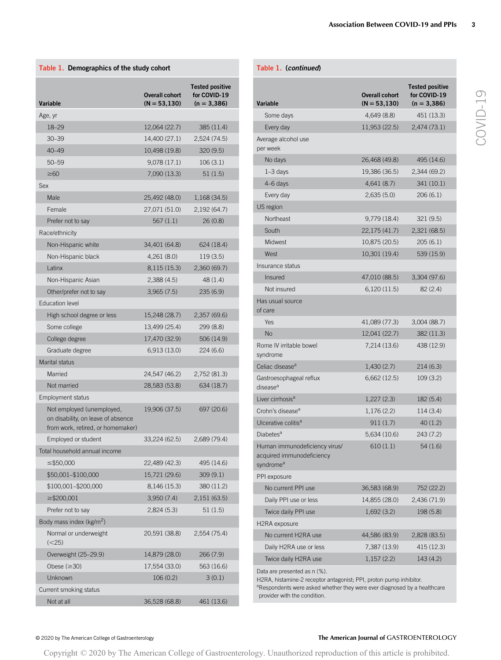| Table 1. Demographics of the study cohort                                                            |                                          |                                                         |  |  |
|------------------------------------------------------------------------------------------------------|------------------------------------------|---------------------------------------------------------|--|--|
| Variable                                                                                             | <b>Overall cohort</b><br>$(N = 53, 130)$ | <b>Tested positive</b><br>for COVID-19<br>$(n = 3,386)$ |  |  |
| Age, yr                                                                                              |                                          |                                                         |  |  |
| $18 - 29$                                                                                            | 12,064 (22.7)                            | 385 (11.4)                                              |  |  |
| $30 - 39$                                                                                            | 14,400 (27.1)                            | 2,524 (74.5)                                            |  |  |
| $40 - 49$                                                                                            | 10,498 (19.8)                            | 320(9.5)                                                |  |  |
| $50 - 59$                                                                                            | 9,078 (17.1)                             | 106(3.1)                                                |  |  |
| ≥60                                                                                                  | 7,090 (13.3)                             | 51(1.5)                                                 |  |  |
| <b>Sex</b>                                                                                           |                                          |                                                         |  |  |
| Male                                                                                                 | 25,492 (48.0)                            | 1,168 (34.5)                                            |  |  |
| Female                                                                                               | 27,071 (51.0)                            | 2,192 (64.7)                                            |  |  |
| Prefer not to say                                                                                    | 567(1.1)                                 | 26 (0.8)                                                |  |  |
| Race/ethnicity                                                                                       |                                          |                                                         |  |  |
| Non-Hispanic white                                                                                   | 34,401 (64.8)                            | 624 (18.4)                                              |  |  |
| Non-Hispanic black                                                                                   | 4,261 (8.0)                              | 119 (3.5)                                               |  |  |
| Latinx                                                                                               | 8,115 (15.3)                             | 2,360 (69.7)                                            |  |  |
| Non-Hispanic Asian                                                                                   | 2,388(4.5)                               | 48 (1.4)                                                |  |  |
| Other/prefer not to say                                                                              | 3,965(7.5)                               | 235 (6.9)                                               |  |  |
| <b>Education level</b>                                                                               |                                          |                                                         |  |  |
| High school degree or less                                                                           | 15,248 (28.7)                            | 2,357 (69.6)                                            |  |  |
| Some college                                                                                         | 13,499 (25.4)                            | 299 (8.8)                                               |  |  |
| College degree                                                                                       | 17,470 (32.9)                            | 506 (14.9)                                              |  |  |
| Graduate degree                                                                                      | 6,913 (13.0)                             | 224 (6.6)                                               |  |  |
| Marital status                                                                                       |                                          |                                                         |  |  |
| Married                                                                                              | 24,547 (46.2)                            | 2,752 (81.3)                                            |  |  |
| Not married                                                                                          | 28,583 (53.8)                            | 634 (18.7)                                              |  |  |
| Employment status                                                                                    |                                          |                                                         |  |  |
| Not employed (unemployed,<br>on disability, on leave of absence<br>from work, retired, or homemaker) | 19,906 (37.5)                            | 697 (20.6)                                              |  |  |
| Employed or student                                                                                  | 33,224 (62.5)                            | 2,689 (79.4)                                            |  |  |
| Total household annual income                                                                        |                                          |                                                         |  |  |
| $≤$ \$50,000                                                                                         | 22,489 (42.3)                            | 495 (14.6)                                              |  |  |
| \$50,001-\$100,000                                                                                   | 15,721 (29.6)                            | 309 (9.1)                                               |  |  |
| \$100,001-\$200,000                                                                                  | 8,146 (15.3)                             | 380 (11.2)                                              |  |  |
| $\geq$ \$200,001                                                                                     | 3,950(7.4)                               | 2,151 (63.5)                                            |  |  |
| Prefer not to say                                                                                    | 2,824 (5.3)                              | 51(1.5)                                                 |  |  |
| Body mass index (kg/m <sup>2</sup> )                                                                 |                                          |                                                         |  |  |
| Normal or underweight<br>$(<\!\!25)$                                                                 | 20,591 (38.8)                            | 2,554 (75.4)                                            |  |  |
| Overweight (25-29.9)                                                                                 | 14,879 (28.0)                            | 266 (7.9)                                               |  |  |
| Obese $(\geq 30)$                                                                                    | 17,554 (33.0)                            | 563 (16.6)                                              |  |  |
| Unknown                                                                                              | 106 (0.2)                                | 3(0.1)                                                  |  |  |
| Current smoking status                                                                               |                                          |                                                         |  |  |
| Not at all                                                                                           | 36,528 (68.8)                            | 461 (13.6)                                              |  |  |

| <b>Variable</b>                                                                                                                                                                                                            | <b>Overall cohort</b><br>$(N = 53, 130)$ | <b>Tested positive</b><br>for COVID-19<br>$(n = 3,386)$ |  |  |  |
|----------------------------------------------------------------------------------------------------------------------------------------------------------------------------------------------------------------------------|------------------------------------------|---------------------------------------------------------|--|--|--|
| Some days                                                                                                                                                                                                                  | 4,649(8.8)                               | 451 (13.3)                                              |  |  |  |
| Every day                                                                                                                                                                                                                  | 11,953 (22.5)                            | 2,474 (73.1)                                            |  |  |  |
| Average alcohol use<br>per week                                                                                                                                                                                            |                                          |                                                         |  |  |  |
| No days                                                                                                                                                                                                                    | 26,468 (49.8)                            | 495 (14.6)                                              |  |  |  |
| $1 - 3$ days                                                                                                                                                                                                               | 19,386 (36.5)                            | 2,344 (69.2)                                            |  |  |  |
| 4-6 days                                                                                                                                                                                                                   | 4,641 (8.7)                              | 341 (10.1)                                              |  |  |  |
| Every day                                                                                                                                                                                                                  | 2,635(5.0)                               | 206(6.1)                                                |  |  |  |
| US region                                                                                                                                                                                                                  |                                          |                                                         |  |  |  |
| Northeast                                                                                                                                                                                                                  | 9,779 (18.4)                             | 321 (9.5)                                               |  |  |  |
| South                                                                                                                                                                                                                      | 22,175 (41.7)                            | 2,321 (68.5)                                            |  |  |  |
| <b>Midwest</b>                                                                                                                                                                                                             | 10,875 (20.5)                            | 205(6.1)                                                |  |  |  |
| West                                                                                                                                                                                                                       | 10,301 (19.4)                            | 539 (15.9)                                              |  |  |  |
| Insurance status                                                                                                                                                                                                           |                                          |                                                         |  |  |  |
| Insured                                                                                                                                                                                                                    | 47,010 (88.5)                            | 3,304 (97.6)                                            |  |  |  |
| Not insured                                                                                                                                                                                                                | 6,120 (11.5)                             | 82(2.4)                                                 |  |  |  |
| Has usual source<br>of care                                                                                                                                                                                                |                                          |                                                         |  |  |  |
| Yes                                                                                                                                                                                                                        | 41,089 (77.3)                            | 3,004 (88.7)                                            |  |  |  |
| <b>No</b>                                                                                                                                                                                                                  | 12,041 (22.7)                            | 382 (11.3)                                              |  |  |  |
| Rome IV irritable bowel<br>syndrome                                                                                                                                                                                        | 7,214 (13.6)                             | 438 (12.9)                                              |  |  |  |
| Celiac disease <sup>a</sup>                                                                                                                                                                                                | 1,430(2.7)                               | 214 (6.3)                                               |  |  |  |
| Gastroesophageal reflux<br>disease <sup>a</sup>                                                                                                                                                                            | 6,662 (12.5)                             | 109(3.2)                                                |  |  |  |
| Liver cirrhosis <sup>a</sup>                                                                                                                                                                                               | 1,227(2.3)                               | 182 (5.4)                                               |  |  |  |
| Crohn's disease <sup>a</sup>                                                                                                                                                                                               | 1,176(2.2)                               | 114 (3.4)                                               |  |  |  |
| Ulcerative colitis <sup>a</sup>                                                                                                                                                                                            | 911 (1.7)                                | 40(1.2)                                                 |  |  |  |
| Diabetes <sup>a</sup>                                                                                                                                                                                                      | 5,634 (10.6)                             | 243 (7.2)                                               |  |  |  |
| Human immunodeficiency virus/<br>acquired immunodeficiency<br>syndrome <sup>a</sup>                                                                                                                                        | 610(1.1)                                 | 54 (1.6)                                                |  |  |  |
| PPI exposure                                                                                                                                                                                                               |                                          |                                                         |  |  |  |
| No current PPI use                                                                                                                                                                                                         | 36,583 (68.9)                            | 752 (22.2)                                              |  |  |  |
| Daily PPI use or less                                                                                                                                                                                                      | 14,855 (28.0)                            | 2,436 (71.9)                                            |  |  |  |
| Twice daily PPI use                                                                                                                                                                                                        | 1,692 (3.2)                              | 198 (5.8)                                               |  |  |  |
| H2RA exposure                                                                                                                                                                                                              |                                          |                                                         |  |  |  |
| No current H2RA use                                                                                                                                                                                                        | 44,586 (83.9)                            | 2,828 (83.5)                                            |  |  |  |
| Daily H2RA use or less                                                                                                                                                                                                     | 7,387 (13.9)                             | 415 (12.3)                                              |  |  |  |
| Twice daily H2RA use                                                                                                                                                                                                       | 1,157(2.2)                               | 143 (4.2)                                               |  |  |  |
| Data are presented as n (%).<br>H2RA, histamine-2 receptor antagonist; PPI, proton pump inhibitor.<br><sup>a</sup> Respondents were asked whether they were ever diagnosed by a healthcare<br>provider with the condition. |                                          |                                                         |  |  |  |

COVID-19

COVID-19

#### Table 1. (continued)

#### © 2020 by The American College of Gastroenterology The American Journal of GASTROENTEROLOGY

Copyright © 2020 by The American College of Gastroenterology. Unauthorized reproduction of this article is prohibited.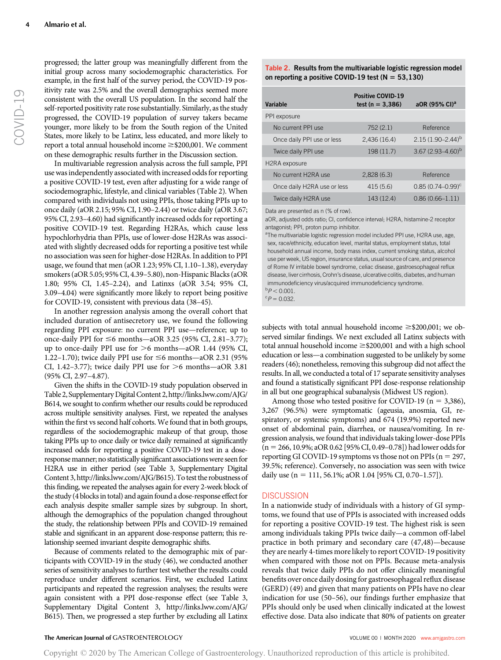progressed; the latter group was meaningfully different from the initial group across many sociodemographic characteristics. For example, in the first half of the survey period, the COVID-19 positivity rate was 2.5% and the overall demographics seemed more consistent with the overall US population. In the second half the self-reported positivity rate rose substantially. Similarly, as the study progressed, the COVID-19 population of survey takers became younger, more likely to be from the South region of the United States, more likely to be Latinx, less educated, and more likely to report a total annual household income  $\geq$ \$200,001. We comment on these demographic results further in the Discussion section.

In multivariable regression analysis across the full sample, PPI use was independently associated with increased odds for reporting a positive COVID-19 test, even after adjusting for a wide range of sociodemographic, lifestyle, and clinical variables (Table 2). When compared with individuals not using PPIs, those taking PPIs up to once daily (aOR 2.15; 95% CI, 1.90–2.44) or twice daily (aOR 3.67; 95% CI, 2.93–4.60) had significantly increased odds for reporting a positive COVID-19 test. Regarding H2RAs, which cause less hypochlorhydria than PPIs, use of lower-dose H2RAs was associated with slightly decreased odds for reporting a positive test while no association was seen for higher-dose H2RAs. In addition to PPI usage, we found that men (aOR 1.23; 95% CI, 1.10–1.38), everyday smokers (aOR 5.05; 95% CI, 4.39–5.80), non-Hispanic Blacks (aOR 1.80; 95% CI, 1.45–2.24), and Latinxs (aOR 3.54; 95% CI, 3.09–4.04) were significantly more likely to report being positive for COVID-19, consistent with previous data (38–45).

In another regression analysis among the overall cohort that included duration of antisecretory use, we found the following regarding PPI exposure: no current PPI use—reference; up to once-daily PPI for  $\leq$ 6 months—aOR 3.25 (95% CI, 2.81-3.77); up to once-daily PPI use for  $>6$  months—aOR 1.44 (95% CI, 1.22–1.70); twice daily PPI use for  $\leq$ 6 months—aOR 2.31 (95%) CI, 1.42-3.77); twice daily PPI use for  $>6$  months—aOR 3.81 (95% CI, 2.97–4.87).

Given the shifts in the COVID-19 study population observed in Table 2, Supplementary DigitalContent 2, [http://links.lww.com/AJG/](http://links.lww.com/AJG/B614) [B614,](http://links.lww.com/AJG/B614) we sought to confirm whether our results could be reproduced across multiple sensitivity analyses. First, we repeated the analyses within the first vs second half cohorts. We found that in both groups, regardless of the sociodemographic makeup of that group, those taking PPIs up to once daily or twice daily remained at significantly increased odds for reporting a positive COVID-19 test in a doseresponse manner; no statistically significant associations were seen for H2RA use in either period (see Table 3, Supplementary Digital Content 3, [http://links.lww.com/AJG/B615\)](http://links.lww.com/AJG/B615). To test the robustness of this finding, we repeated the analyses again for every 2-week block of the study (4 blocks in total) and again found a dose-response effect for each analysis despite smaller sample sizes by subgroup. In short, although the demographics of the population changed throughout the study, the relationship between PPIs and COVID-19 remained stable and significant in an apparent dose-response pattern; this relationship seemed invariant despite demographic shifts.

Because of comments related to the demographic mix of participants with COVID-19 in the study (46), we conducted another series of sensitivity analyses to further test whether the results could reproduce under different scenarios. First, we excluded Latinx participants and repeated the regression analyses; the results were again consistent with a PPI dose-response effect (see Table 3, Supplementary Digital Content 3, [http://links.lww.com/AJG/](http://links.lww.com/AJG/B615) [B615](http://links.lww.com/AJG/B615)). Then, we progressed a step further by excluding all Latinx

| Table 2. Results from the multivariable logistic regression model |
|-------------------------------------------------------------------|
| on reporting a positive COVID-19 test ( $N = 53,130$ )            |

| Variable                    | <b>Positive COVID-19</b><br>test ( $n = 3,386$ ) | aOR (95% CI) <sup>a</sup> |  |  |
|-----------------------------|--------------------------------------------------|---------------------------|--|--|
| PPI exposure                |                                                  |                           |  |  |
| No current PPI use          | 752 (2.1)                                        | Reference                 |  |  |
| Once daily PPI use or less  | 2,436(16.4)                                      | $2.15(1.90 - 2.44)^{b}$   |  |  |
| Twice daily PPI use         | 198 (11.7)                                       | $3.67(2.93 - 4.60)^b$     |  |  |
| H <sub>2</sub> RA exposure  |                                                  |                           |  |  |
| No current H2RA use         | 2,828(6.3)                                       | Reference                 |  |  |
| Once daily H2RA use or less | 415(5.6)                                         | $0.85(0.74 - 0.99)^c$     |  |  |
| Twice daily H2RA use        | 143 (12.4)                                       | $0.86(0.66 - 1.11)$       |  |  |

Data are presented as n (% of row).

aOR, adjusted odds ratio; CI, confidence interval; H2RA, histamine-2 receptor antagonist; PPI, proton pump inhibitor.

<sup>a</sup>The multivariable logistic regression model included PPI use, H2RA use, age, sex, race/ethnicity, education level, marital status, employment status, total household annual income, body mass index, current smoking status, alcohol use per week, US region, insurance status, usual source of care, and presence of Rome IV irritable bowel syndrome, celiac disease, gastroesophageal reflux disease, liver cirrhosis, Crohn's disease, ulcerative colitis, diabetes, and human immunodeficiency virus/acquired immunodeficiency syndrome.

 $\rm ^{b}P$  < 0.001.

 ${}^cP = 0.032$ .

subjects with total annual household income  $\geq$ \$200,001; we observed similar findings. We next excluded all Latinx subjects with total annual household income  $\geq$ \$200,001 and with a high school education or less—a combination suggested to be unlikely by some readers (46); nonetheless, removing this subgroup did not affect the results. In all, we conducted a total of 17 separate sensitivity analyses and found a statistically significant PPI dose-response relationship in all but one geographical subanalysis (Midwest US region).

Among those who tested positive for COVID-19 ( $n = 3,386$ ), 3,267 (96.5%) were symptomatic (ageusia, anosmia, GI, respiratory, or systemic symptoms) and 674 (19.9%) reported new onset of abdominal pain, diarrhea, or nausea/vomiting. In regression analysis, we found that individuals taking lower-dose PPIs  $(n = 266, 10.9\%; aOR 0.62 [95\% CI, 0.49-0.78])$  had lower odds for reporting GI COVID-19 symptoms vs those not on PPIs ( $n = 297$ , 39.5%; reference). Conversely, no association was seen with twice daily use  $(n = 111, 56.1\%; aOR 1.04$  [95% CI, 0.70–1.57]).

#### **DISCUSSION**

In a nationwide study of individuals with a history of GI symptoms, we found that use of PPIs is associated with increased odds for reporting a positive COVID-19 test. The highest risk is seen among individuals taking PPIs twice daily—a common off-label practice in both primary and secondary care (47,48)—because they are nearly 4-times more likely to report COVID-19 positivity when compared with those not on PPIs. Because meta-analysis reveals that twice daily PPIs do not offer clinically meaningful benefits over once daily dosing for gastroesophageal reflux disease (GERD) (49) and given that many patients on PPIs have no clear indication for use (50–56), our findings further emphasize that PPIs should only be used when clinically indicated at the lowest effective dose. Data also indicate that 80% of patients on greater

#### The American Journal of GASTROENTEROLOGY **Volume 1999** VOLUME 00 | MONTH 2020 www.amigastro.com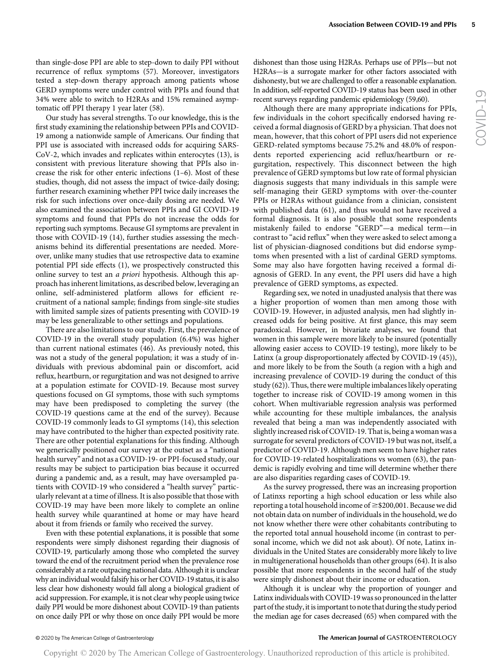Our study has several strengths. To our knowledge, this is the first study examining the relationship between PPIs and COVID-19 among a nationwide sample of Americans. Our finding that PPI use is associated with increased odds for acquiring SARS-CoV-2, which invades and replicates within enterocytes (13), is consistent with previous literature showing that PPIs also increase the risk for other enteric infections (1–6). Most of these studies, though, did not assess the impact of twice-daily dosing; further research examining whether PPI twice daily increases the risk for such infections over once-daily dosing are needed. We also examined the association between PPIs and GI COVID-19 symptoms and found that PPIs do not increase the odds for reporting such symptoms. Because GI symptoms are prevalent in those with COVID-19 (14), further studies assessing the mechanisms behind its differential presentations are needed. Moreover, unlike many studies that use retrospective data to examine potential PPI side effects (1), we prospectively constructed this online survey to test an a priori hypothesis. Although this approach has inherent limitations, as described below, leveraging an online, self-administered platform allows for efficient recruitment of a national sample; findings from single-site studies with limited sample sizes of patients presenting with COVID-19 may be less generalizable to other settings and populations.

There are also limitations to our study. First, the prevalence of COVID-19 in the overall study population (6.4%) was higher than current national estimates (46). As previously noted, this was not a study of the general population; it was a study of individuals with previous abdominal pain or discomfort, acid reflux, heartburn, or regurgitation and was not designed to arrive at a population estimate for COVID-19. Because most survey questions focused on GI symptoms, those with such symptoms may have been predisposed to completing the survey (the COVID-19 questions came at the end of the survey). Because COVID-19 commonly leads to GI symptoms (14), this selection may have contributed to the higher than expected positivity rate. There are other potential explanations for this finding. Although we generically positioned our survey at the outset as a "national health survey" and not as a COVID-19- or PPI-focused study, our results may be subject to participation bias because it occurred during a pandemic and, as a result, may have oversampled patients with COVID-19 who considered a "health survey" particularly relevant at a time of illness. It is also possible that those with COVID-19 may have been more likely to complete an online health survey while quarantined at home or may have heard about it from friends or family who received the survey.

Even with these potential explanations, it is possible that some respondents were simply dishonest regarding their diagnosis of COVID-19, particularly among those who completed the survey toward the end of the recruitment period when the prevalence rose considerably at a rate outpacing national data. Although it is unclear why an individual would falsify his or her COVID-19 status, it is also less clear how dishonesty would fall along a biological gradient of acid suppression. For example, it is not clear why people using twice daily PPI would be more dishonest about COVID-19 than patients on once daily PPI or why those on once daily PPI would be more

dishonest than those using H2RAs. Perhaps use of PPIs—but not H2RAs—is a surrogate marker for other factors associated with dishonesty, but we are challenged to offer a reasonable explanation. In addition, self-reported COVID-19 status has been used in other recent surveys regarding pandemic epidemiology (59,60).

Although there are many appropriate indications for PPIs, few individuals in the cohort specifically endorsed having received a formal diagnosis of GERD by a physician. That does not mean, however, that this cohort of PPI users did not experience GERD-related symptoms because 75.2% and 48.0% of respondents reported experiencing acid reflux/heartburn or regurgitation, respectively. This disconnect between the high prevalence of GERD symptoms but low rate of formal physician diagnosis suggests that many individuals in this sample were self-managing their GERD symptoms with over-the-counter PPIs or H2RAs without guidance from a clinician, consistent with published data (61), and thus would not have received a formal diagnosis. It is also possible that some respondents mistakenly failed to endorse "GERD"—a medical term—in contrast to "acid reflux" when they were asked to select among a list of physician-diagnosed conditions but did endorse symptoms when presented with a list of cardinal GERD symptoms. Some may also have forgotten having received a formal diagnosis of GERD. In any event, the PPI users did have a high prevalence of GERD symptoms, as expected.

Regarding sex, we noted in unadjusted analysis that there was a higher proportion of women than men among those with COVID-19. However, in adjusted analysis, men had slightly increased odds for being positive. At first glance, this may seem paradoxical. However, in bivariate analyses, we found that women in this sample were more likely to be insured (potentially allowing easier access to COVID-19 testing), more likely to be Latinx (a group disproportionately affected by COVID-19 (45)), and more likely to be from the South (a region with a high and increasing prevalence of COVID-19 during the conduct of this study (62)). Thus, there were multiple imbalances likely operating together to increase risk of COVID-19 among women in this cohort. When multivariable regression analysis was performed while accounting for these multiple imbalances, the analysis revealed that being a man was independently associated with slightly increased risk of COVID-19. That is, being a woman was a surrogate for several predictors of COVID-19 but was not, itself, a predictor of COVID-19. Although men seem to have higher rates for COVID-19-related hospitalizations vs women (63), the pandemic is rapidly evolving and time will determine whether there are also disparities regarding cases of COVID-19.

As the survey progressed, there was an increasing proportion of Latinxs reporting a high school education or less while also reporting a total household income of  $\geq$ \$200,001. Because we did not obtain data on number of individuals in the household, we do not know whether there were other cohabitants contributing to the reported total annual household income (in contrast to personal income, which we did not ask about). Of note, Latinx individuals in the United States are considerably more likely to live in multigenerational households than other groups (64). It is also possible that more respondents in the second half of the study were simply dishonest about their income or education.

Although it is unclear why the proportion of younger and Latinx individuals with COVID-19 was so pronounced in the latter part of the study, it is important to note that during the study period the median age for cases decreased (65) when compared with the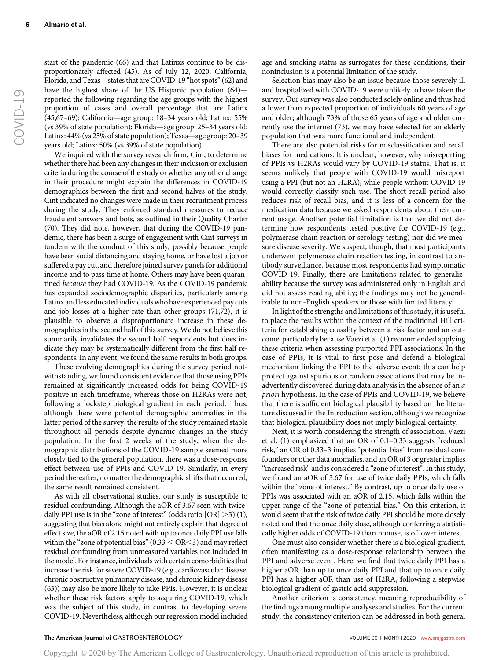start of the pandemic (66) and that Latinxs continue to be disproportionately affected (45). As of July 12, 2020, California, Florida, and Texas—states that are COVID-19 "hot spots"(62) and have the highest share of the US Hispanic population  $(64)$  reported the following regarding the age groups with the highest proportion of cases and overall percentage that are Latinx (45,67–69): California—age group: 18–34 years old; Latinx: 55% (vs 39% of state population); Florida—age group: 25–34 years old; Latinx: 44% (vs 25% of state population); Texas—age group: 20–39 years old; Latinx: 50% (vs 39% of state population).

We inquired with the survey research firm, Cint, to determine whether there had been any changes in their inclusion or exclusion criteria during the course of the study or whether any other change in their procedure might explain the differences in COVID-19 demographics between the first and second halves of the study. Cint indicated no changes were made in their recruitment process during the study. They enforced standard measures to reduce fraudulent answers and bots, as outlined in their Quality Charter (70). They did note, however, that during the COVID-19 pandemic, there has been a surge of engagement with Cint surveys in tandem with the conduct of this study, possibly because people have been social distancing and staying home, or have lost a job or suffered a pay cut, and therefore joined survey panels for additional income and to pass time at home. Others may have been quarantined because they had COVID-19. As the COVID-19 pandemic has expanded sociodemographic disparities, particularly among Latinx and less educated individualswho have experienced pay cuts and job losses at a higher rate than other groups (71,72), it is plausible to observe a disproportionate increase in these demographics in the second half of this survey. We do not believe this summarily invalidates the second half respondents but does indicate they may be systematically different from the first half respondents. In any event, we found the same results in both groups.

These evolving demographics during the survey period notwithstanding, we found consistent evidence that those using PPIs remained at significantly increased odds for being COVID-19 positive in each timeframe, whereas those on H2RAs were not, following a lockstep biological gradient in each period. Thus, although there were potential demographic anomalies in the latter period of the survey, the results of the study remained stable throughout all periods despite dynamic changes in the study population. In the first 2 weeks of the study, when the demographic distributions of the COVID-19 sample seemed more closely tied to the general population, there was a dose-response effect between use of PPIs and COVID-19. Similarly, in every period thereafter, no matter the demographic shifts that occurred, the same result remained consistent.

As with all observational studies, our study is susceptible to residual confounding. Although the aOR of 3.67 seen with twicedaily PPI use is in the "zone of interest" (odds ratio  $[OR] > 3$ ) (1), suggesting that bias alone might not entirely explain that degree of effect size, the aOR of 2.15 noted with up to once daily PPI use falls within the "zone of potential bias" (0.33  $<$  OR $<$ 3) and may reflect residual confounding from unmeasured variables not included in the model. For instance, individuals with certain comorbidities that increase the risk for severe COVID-19 (e.g., cardiovascular disease, chronic obstructive pulmonary disease, and chronic kidney disease (63)) may also be more likely to take PPIs. However, it is unclear whether these risk factors apply to acquiring COVID-19, which was the subject of this study, in contrast to developing severe COVID-19. Nevertheless, although our regression model included

age and smoking status as surrogates for these conditions, their noninclusion is a potential limitation of the study.

Selection bias may also be an issue because those severely ill and hospitalized with COVID-19 were unlikely to have taken the survey. Our survey was also conducted solely online and thus had a lower than expected proportion of individuals 60 years of age and older; although 73% of those 65 years of age and older currently use the internet (73), we may have selected for an elderly population that was more functional and independent.

There are also potential risks for misclassification and recall biases for medications. It is unclear, however, why misreporting of PPIs vs H2RAs would vary by COVID-19 status. That is, it seems unlikely that people with COVID-19 would misreport using a PPI (but not an H2RA), while people without COVID-19 would correctly classify such use. The short recall period also reduces risk of recall bias, and it is less of a concern for the medication data because we asked respondents about their current usage. Another potential limitation is that we did not determine how respondents tested positive for COVID-19 (e.g., polymerase chain reaction or serology testing) nor did we measure disease severity. We suspect, though, that most participants underwent polymerase chain reaction testing, in contrast to antibody surveillance, because most respondents had symptomatic COVID-19. Finally, there are limitations related to generalizability because the survey was administered only in English and did not assess reading ability; the findings may not be generalizable to non-English speakers or those with limited literacy.

In light of the strengths and limitations of this study, it is useful to place the results within the context of the traditional Hill criteria for establishing causality between a risk factor and an outcome, particularly because Vaezi et al. (1) recommended applying these criteria when assessing purported PPI associations. In the case of PPIs, it is vital to first pose and defend a biological mechanism linking the PPI to the adverse event; this can help protect against spurious or random associations that may be inadvertently discovered during data analysis in the absence of an a priori hypothesis. In the case of PPIs and COVID-19, we believe that there is sufficient biological plausibility based on the literature discussed in the Introduction section, although we recognize that biological plausibility does not imply biological certainty.

Next, it is worth considering the strength of association. Vaezi et al. (1) emphasized that an OR of 0.1–0.33 suggests "reduced risk," an OR of 0.33–3 implies "potential bias" from residual confounders or other data anomalies, and an OR of 3 or greater implies "increased risk" and is considered a "zone of interest". In this study, we found an aOR of 3.67 for use of twice daily PPIs, which falls within the "zone of interest." By contrast, up to once daily use of PPIs was associated with an aOR of 2.15, which falls within the upper range of the "zone of potential bias." On this criterion, it would seem that the risk of twice daily PPI should be more closely noted and that the once daily dose, although conferring a statistically higher odds of COVID-19 than nonuse, is of lower interest.

One must also consider whether there is a biological gradient, often manifesting as a dose-response relationship between the PPI and adverse event. Here, we find that twice daily PPI has a higher aOR than up to once daily PPI and that up to once daily PPI has a higher aOR than use of H2RA, following a stepwise biological gradient of gastric acid suppression.

Another criterion is consistency, meaning reproducibility of the findings among multiple analyses and studies. For the current study, the consistency criterion can be addressed in both general

#### The American Journal of GASTROENTEROLOGY **Annual American Journal of GASTROENTEROLOGY VOLUME 00 | MONTH 2020** [www.amjgastro.com](http://www.amjgastro.com)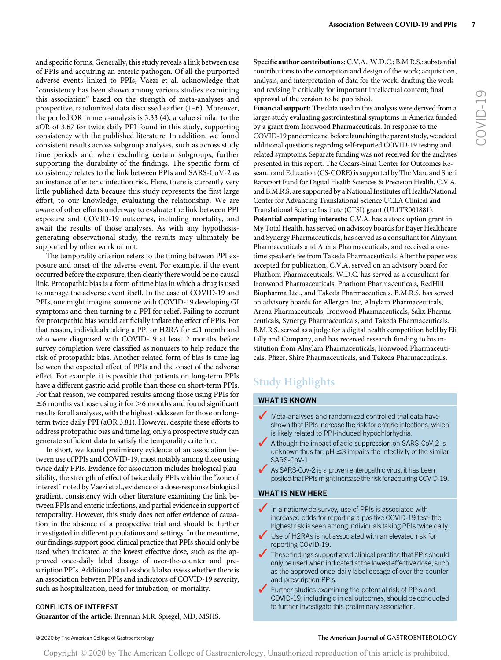and specific forms. Generally, this study reveals a link between use of PPIs and acquiring an enteric pathogen. Of all the purported adverse events linked to PPIs, Vaezi et al. acknowledge that "consistency has been shown among various studies examining this association" based on the strength of meta-analyses and prospective, randomized data discussed earlier (1–6). Moreover, the pooled OR in meta-analysis is 3.33 (4), a value similar to the aOR of 3.67 for twice daily PPI found in this study, supporting consistency with the published literature. In addition, we found consistent results across subgroup analyses, such as across study time periods and when excluding certain subgroups, further supporting the durability of the findings. The specific form of consistency relates to the link between PPIs and SARS-CoV-2 as an instance of enteric infection risk. Here, there is currently very little published data because this study represents the first large effort, to our knowledge, evaluating the relationship. We are aware of other efforts underway to evaluate the link between PPI exposure and COVID-19 outcomes, including mortality, and await the results of those analyses. As with any hypothesisgenerating observational study, the results may ultimately be supported by other work or not.

The temporality criterion refers to the timing between PPI exposure and onset of the adverse event. For example, if the event occurred before the exposure, then clearly there would be no causal link. Protopathic bias is a form of time bias in which a drug is used to manage the adverse event itself. In the case of COVID-19 and PPIs, one might imagine someone with COVID-19 developing GI symptoms and then turning to a PPI for relief. Failing to account for protopathic bias would artificially inflate the effect of PPIs. For that reason, individuals taking a PPI or H2RA for  $\leq$ 1 month and who were diagnosed with COVID-19 at least 2 months before survey completion were classified as nonusers to help reduce the risk of protopathic bias. Another related form of bias is time lag between the expected effect of PPIs and the onset of the adverse effect. For example, it is possible that patients on long-term PPIs have a different gastric acid profile than those on short-term PPIs. For that reason, we compared results among those using PPIs for  $\leq$ 6 months vs those using it for  $>$ 6 months and found significant results for all analyses, with the highest odds seen for those on longterm twice daily PPI (aOR 3.81). However, despite these efforts to address protopathic bias and time lag, only a prospective study can generate sufficient data to satisfy the temporality criterion.

In short, we found preliminary evidence of an association between use of PPIs and COVID-19, most notably among those using twice daily PPIs. Evidence for association includes biological plausibility, the strength of effect of twice daily PPIs within the "zone of interest" noted by Vaezi et al., evidence of a dose-response biological gradient, consistency with other literature examining the link between PPIs and enteric infections, and partial evidence in support of temporality. However, this study does not offer evidence of causation in the absence of a prospective trial and should be further investigated in different populations and settings. In the meantime, our findings support good clinical practice that PPIs should only be used when indicated at the lowest effective dose, such as the approved once-daily label dosage of over-the-counter and prescription PPIs.Additional studies should also assess whether there is an association between PPIs and indicators of COVID-19 severity, such as hospitalization, need for intubation, or mortality.

#### CONFLICTS OF INTEREST

Guarantor of the article: Brennan M.R. Spiegel, MD, MSHS.

Specific author contributions:C.V.A.;W.D.C.; B.M.R.S.: substantial contributions to the conception and design of the work; acquisition, analysis, and interpretation of data for the work; drafting the work and revising it critically for important intellectual content; final approval of the version to be published.

Financial support: The data used in this analysis were derived from a larger study evaluating gastrointestinal symptoms in America funded by a grant from Ironwood Pharmaceuticals. In response to the COVID-19 pandemic and before launching the parent study, we added additional questions regarding self-reported COVID-19 testing and related symptoms. Separate funding was not received for the analyses presented in this report. The Cedars-Sinai Center for Outcomes Research and Education (CS-CORE) is supported by The Marc and Sheri Rapaport Fund for Digital Health Sciences & Precision Health. C.V.A. and B.M.R.S. are supported by a National Institutes of Health/National Center for Advancing Translational Science UCLA Clinical and Translational Science Institute (CTSI) grant (UL1TR001881). Potential competing interests: C.V.A. has a stock option grant in My Total Health, has served on advisory boards for Bayer Healthcare and Synergy Pharmaceuticals, has served as a consultant for Alnylam Pharmaceuticals and Arena Pharmaceuticals, and received a onetime speaker's fee from Takeda Pharmaceuticals. After the paper was accepted for publication, C.V.A. served on an advisory board for Phathom Pharmaceuticals. W.D.C. has served as a consultant for Ironwood Pharmaceuticals, Phathom Pharmaceuticals, RedHill Biopharma Ltd., and Takeda Pharmaceuticals. B.M.R.S. has served on advisory boards for Allergan Inc, Alnylam Pharmaceuticals, Arena Pharmaceuticals, Ironwood Pharmaceuticals, Salix Pharmaceuticals, Synergy Pharmaceuticals, and Takeda Pharmaceuticals. B.M.R.S. served as a judge for a digital health competition held by Eli Lilly and Company, and has received research funding to his institution from Alnylam Pharmaceuticals, Ironwood Pharmaceuticals, Pfizer, Shire Pharmaceuticals, and Takeda Pharmaceuticals.

# Study Highlights

#### WHAT IS KNOWN

- $\sqrt{\ }$  Meta-analyses and randomized controlled trial data have shown that PPIs increase the risk for enteric infections, which is likely related to PPI-induced hypochlorhydria.
- $\blacktriangle$  Although the impact of acid suppression on SARS-CoV-2 is unknown thus far,  $pH \le 3$  impairs the infectivity of the similar SARS-CoV-1.
- $\blacktriangle$  As SARS-CoV-2 is a proven enteropathic virus, it has been posited that PPIs might increase the risk for acquiring COVID-19.

#### WHAT IS NEW HERE

- In a nationwide survey, use of PPIs is associated with increased odds for reporting a positive COVID-19 test; the highest risk is seen among individuals taking PPIs twice daily.
- Use of H2RAs is not associated with an elevated risk for reporting COVID-19.
- 3 These findings support good clinical practice that PPIs should only be used when indicated at the lowest effective dose, such as the approved once-daily label dosage of over-the-counter and prescription PPIs.
- Further studies examining the potential risk of PPIs and COVID-19, including clinical outcomes, should be conducted to further investigate this preliminary association.

COVID-19

COVID-19

### © 2020 by The American College of Gastroenterology The American Journal of GASTROENTEROLOGY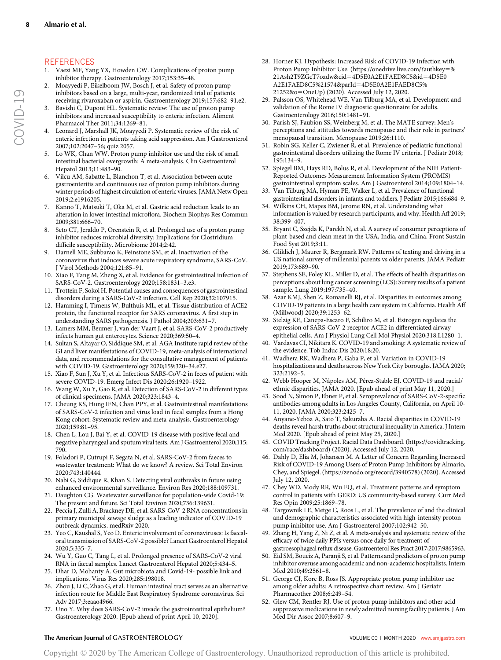## **REFERENCES**

- 1. Vaezi MF, Yang YX, Howden CW. Complications of proton pump inhibitor therapy. Gastroenterology 2017;153:35–48.
- 2. Moayyedi P, Eikelboom JW, Bosch J, et al. Safety of proton pump inhibitors based on a large, multi-year, randomized trial of patients receiving rivaroxaban or aspirin. Gastroenterology 2019;157:682–91.e2.
- Bavishi C, Dupont HL. Systematic review: The use of proton pump inhibitors and increased susceptibility to enteric infection. Aliment Pharmacol Ther 2011;34:1269–81.
- 4. Leonard J, Marshall JK, Moayyedi P. Systematic review of the risk of enteric infection in patients taking acid suppression. Am J Gastroenterol 2007;102:2047–56; quiz 2057.
- 5. Lo WK, Chan WW. Proton pump inhibitor use and the risk of small intestinal bacterial overgrowth: A meta-analysis. Clin Gastroenterol Hepatol 2013;11:483–90.
- 6. Vilcu AM, Sabatte L, Blanchon T, et al. Association between acute gastroenteritis and continuous use of proton pump inhibitors during winter periods of highest circulation of enteric viruses. JAMA Netw Open 2019;2:e1916205.
- 7. Kanno T, Matsuki T, Oka M, et al. Gastric acid reduction leads to an alteration in lower intestinal microflora. Biochem Biophys Res Commun 2009;381:666–70.
- 8. Seto CT, Jeraldo P, Orenstein R, et al. Prolonged use of a proton pump inhibitor reduces microbial diversity: Implications for Clostridium difficile susceptibility. Microbiome 2014;2:42.
- 9. Darnell ME, Subbarao K, Feinstone SM, et al. Inactivation of the coronavirus that induces severe acute respiratory syndrome, SARS-CoV. Virol Methods 2004;121:85-91.
- 10. Xiao F, Tang M, Zheng X, et al. Evidence for gastrointestinal infection of SARS-CoV-2. Gastroenterology 2020;158:1831–3.e3.
- 11. Trottein F, Sokol H. Potential causes and consequences of gastrointestinal disorders during a SARS-CoV-2 infection. Cell Rep 2020;32:107915.
- 12. Hamming I, Timens W, Bulthuis ML, et al. Tissue distribution of ACE2 protein, the functional receptor for SARS coronavirus. A first step in understanding SARS pathogenesis. J Pathol 2004;203:631–7.
- 13. Lamers MM, Beumer J, van der Vaart J, et al. SARS-CoV-2 productively infects human gut enterocytes. Science 2020;369:50–4.
- 14. Sultan S, Altayar O, Siddique SM, et al. AGA Institute rapid review of the GI and liver manifestations of COVID-19, meta-analysis of international data, and recommendations for the consultative management of patients with COVID-19. Gastroenterology 2020;159:320–34.e27.
- 15. Xiao F, Sun J, Xu Y, et al. Infectious SARS-CoV-2 in feces of patient with severe COVID-19. Emerg Infect Dis 2020;26:1920–1922.
- 16. Wang W, Xu Y, Gao R, et al. Detection of SARS-CoV-2 in different types of clinical specimens. JAMA 2020;323:1843–4.
- 17. Cheung KS, Hung IFN, Chan PPY, et al. Gastrointestinal manifestations of SARS-CoV-2 infection and virus load in fecal samples from a Hong Kong cohort: Systematic review and meta-analysis. Gastroenterology 2020;159:81–95.
- 18. Chen L, Lou J, Bai Y, et al. COVID-19 disease with positive fecal and negative pharyngeal and sputum viral tests. Am J Gastroenterol 2020;115: 790.
- 19. Foladori P, Cutrupi F, Segata N, et al. SARS-CoV-2 from faeces to wastewater treatment: What do we know? A review. Sci Total Environ 2020;743:140444.
- 20. Nabi G, Siddique R, Khan S. Detecting viral outbreaks in future using enhanced environmental surveillance. Environ Res 2020;188:109731.
- 21. Daughton CG. Wastewater surveillance for population-wide Covid-19: The present and future. Sci Total Environ 2020;736:139631.
- 22. Peccia J, Zulli A, Brackney DE, et al. SARS-CoV-2 RNA concentrations in primary municipal sewage sludge as a leading indicator of COVID-19 outbreak dynamics. medRxiv 2020.
- 23. Yeo C, Kaushal S, Yeo D. Enteric involvement of coronaviruses: Is faecaloral transmission of SARS-CoV-2 possible? Lancet Gastroenterol Hepatol 2020;5:335–7.
- 24. Wu Y, Guo C, Tang L, et al. Prolonged presence of SARS-CoV-2 viral RNA in faecal samples. Lancet Gastroenterol Hepatol 2020;5:434–5.
- 25. Dhar D, Mohanty A. Gut microbiota and Covid-19- possible link and implications. Virus Res 2020;285:198018.
- 26. Zhou J, Li C, Zhao G, et al. Human intestinal tract serves as an alternative infection route for Middle East Respiratory Syndrome coronavirus. Sci Adv 2017;3:eaao4966.
- 27. Uno Y. Why does SARS-CoV-2 invade the gastrointestinal epithelium? Gastroenterology 2020. [Epub ahead of print April 10, 2020].
- 28. Horner KJ. Hypothesis: Increased Risk of COVID-19 Infection with Proton Pump Inhibitor Use. [\(https://onedrive.live.com/?authkey](https://onedrive.live.com/?authkey=%21Ash2T9ZGcT7ozdw&tnqh_x0026;cid=4D5E0A2E1FAED8C5&tnqh_x0026;id=4D5E0A2E1FAED8C5%21574&tnqh_x0026;parId=4D5E0A2E1FAED8C5%21252&tnqh_x0026;o=OneUp)=% [21Ash2T9ZGcT7ozdw&cid](https://onedrive.live.com/?authkey=%21Ash2T9ZGcT7ozdw&tnqh_x0026;cid=4D5E0A2E1FAED8C5&tnqh_x0026;id=4D5E0A2E1FAED8C5%21574&tnqh_x0026;parId=4D5E0A2E1FAED8C5%21252&tnqh_x0026;o=OneUp)=4D5E0A2E1FAED8C5&id=4D5E0 [A2E1FAED8C5%21574&parId](https://onedrive.live.com/?authkey=%21Ash2T9ZGcT7ozdw&tnqh_x0026;cid=4D5E0A2E1FAED8C5&tnqh_x0026;id=4D5E0A2E1FAED8C5%21574&tnqh_x0026;parId=4D5E0A2E1FAED8C5%21252&tnqh_x0026;o=OneUp)=4D5E0A2E1FAED8C5% [21252&o](https://onedrive.live.com/?authkey=%21Ash2T9ZGcT7ozdw&tnqh_x0026;cid=4D5E0A2E1FAED8C5&tnqh_x0026;id=4D5E0A2E1FAED8C5%21574&tnqh_x0026;parId=4D5E0A2E1FAED8C5%21252&tnqh_x0026;o=OneUp)=OneUp) (2020). Accessed July 12, 2020.
- 29. Palsson OS, Whitehead WE, Van Tilburg MA, et al. Development and validation of the Rome IV diagnostic questionnaire for adults. Gastroenterology 2016;150:1481–91.
- 30. Parish SJ, Faubion SS, Weinberg M, et al. The MATE survey: Men's perceptions and attitudes towards menopause and their role in partners' menopausal transition. Menopause 2019;26:1110.
- 31. Robin SG, Keller C, Zwiener R, et al. Prevalence of pediatric functional gastrointestinal disorders utilizing the Rome IV criteria. J Pediatr 2018; 195:134–9.
- 32. Spiegel BM, Hays RD, Bolus R, et al. Development of the NIH Patient-Reported Outcomes Measurement Information System (PROMIS) gastrointestinal symptom scales. Am J Gastroenterol 2014;109:1804–14.
- 33. Van Tilburg MA, Hyman PE, Walker L, et al. Prevalence of functional gastrointestinal disorders in infants and toddlers. J Pediatr 2015;166:684–9.
- Wilkins CH, Mapes BM, Jerome RN, et al. Understanding what information is valued by research participants, and why. Health Aff 2019; 38:399–407.
- 35. Bryant C, Szejda K, Parekh N, et al. A survey of consumer perceptions of plant-based and clean meat in the USA, India, and China. Front Sustain Food Syst 2019;3:11.
- Gliklich J, Maurer R, Bergmark RW. Patterns of texting and driving in a US national survey of millennial parents vs older parents. JAMA Pediatr 2019;173:689–90.
- 37. Stephens SE, Foley KL, Miller D, et al. The effects of health disparities on perceptions about lung cancer screening (LCS): Survey results of a patient sample. Lung 2019;197:735–40.
- 38. Azar KMJ, Shen Z, Romanelli RJ, et al. Disparities in outcomes among COVID-19 patients in a large health care system in California. Health Aff (Millwood) 2020;39:1253–62.
- 39. Stelzig KE, Canepa-Escaro F, Schiliro M, et al. Estrogen regulates the expression of SARS-CoV-2 receptor ACE2 in differentiated airway epithelial cells. Am J Physiol Lung Cell Mol Physiol 2020;318:L1280–1.
- Vardavas CI, Nikitara K. COVID-19 and smoking: A systematic review of the evidence. Tob Induc Dis 2020;18:20.
- 41. Wadhera RK, Wadhera P, Gaba P, et al. Variation in COVID-19 hospitalizations and deaths across New York City boroughs. JAMA 2020; 323:2192–5.
- 42. Webb Hooper M, Nápoles AM, Pérez-Stable EJ. COVID-19 and racial/ ethnic disparities. JAMA 2020. [Epub ahead of print May 11, 2020.]
- 43. Sood N, Simon P, Ebner P, et al. Seroprevalence of SARS-CoV-2-specific antibodies among adults in Los Angeles County, California, on April 10- 11, 2020. JAMA 2020;323:2425–7.
- 44. Anyane-Yeboa A, Sato T, Sakuraba A. Racial disparities in COVID-19 deaths reveal harsh truths about structural inequality in America. J Intern Med 2020. [Epub ahead of print May 25, 2020.]
- 45. COVID Tracking Project. Racial Data Dashboard. ([https://covidtracking.](https://covidtracking.com/race/dashboard) [com/race/dashboard\)](https://covidtracking.com/race/dashboard) (2020). Accessed July 12, 2020.
- Dahly D, Elia M, Johansen M. A Letter of Concern Regarding Increased Risk of COVID-19 Among Users of Proton Pump Inhibitors by Almario, Chey, and Spiegel. (<https://zenodo.org/record/3940578>) (2020). Accessed July 12, 2020.
- 47. Chey WD, Mody RR, Wu EQ, et al. Treatment patterns and symptom control in patients with GERD: US community-based survey. Curr Med Res Opin 2009;25:1869–78.
- 48. Targownik LE, Metge C, Roos L, et al. The prevalence of and the clinical and demographic characteristics associated with high-intensity proton pump inhibitor use. Am J Gastroenterol 2007;102:942–50.
- 49. Zhang H, Yang Z, Ni Z, et al. A meta-analysis and systematic review of the efficacy of twice daily PPIs versus once daily for treatment of gastroesophageal reflux disease. Gastroenterol Res Pract 2017;2017:9865963.
- 50. Eid SM, Boueiz A, Paranji S, et al. Patterns and predictors of proton pump inhibitor overuse among academic and non-academic hospitalists. Intern Med 2010;49:2561–8.
- 51. George CJ, Korc B, Ross JS. Appropriate proton pump inhibitor use among older adults: A retrospective chart review. Am J Geriatr Pharmacother 2008;6:249–54.
- 52. Glew CM, Rentler RJ. Use of proton pump inhibitors and other acid suppressive medications in newly admitted nursing facility patients. J Am Med Dir Assoc 2007;8:607–9.

#### The American Journal of GASTROENTEROLOGY **Annual American Journal of GASTROENTEROLOGY VOLUME 00 | MONTH 2020** [www.amjgastro.com](http://www.amjgastro.com)